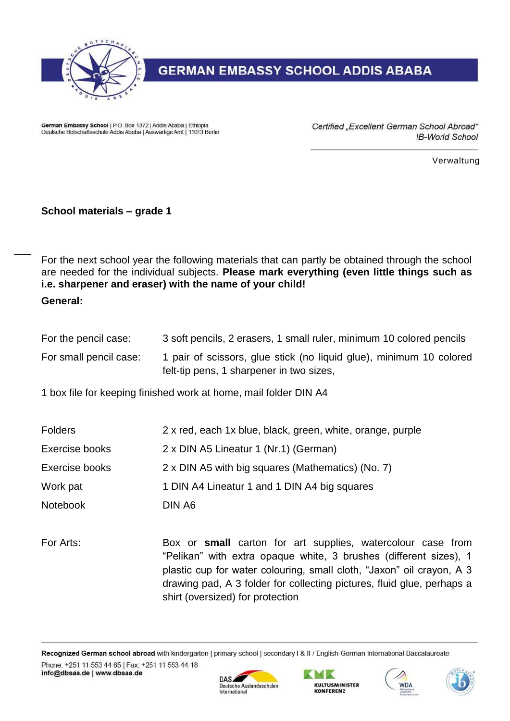

## **GERMAN EMBASSY SCHOOL ADDIS ABABA**

German Embassy School | P.O. Box 1372 | Addis Ababa | Ethiopia Deutsche Botschaftsschule Addis Abeba | Auswärtige Amt | 11013 Berlin Certified "Excellent German School Abroad" **IB-World School** 

Verwaltung

## **School materials – grade 1**

For the next school year the following materials that can partly be obtained through the school are needed for the individual subjects. **Please mark everything (even little things such as i.e. sharpener and eraser) with the name of your child!**

**General:**

| For the pencil case:   | 3 soft pencils, 2 erasers, 1 small ruler, minimum 10 colored pencils |
|------------------------|----------------------------------------------------------------------|
| For small pencil case: | 1 pair of scissors, glue stick (no liquid glue), minimum 10 colored  |
|                        | felt-tip pens, 1 sharpener in two sizes,                             |

1 box file for keeping finished work at home, mail folder DIN A4

| <b>Folders</b>  | 2 x red, each 1x blue, black, green, white, orange, purple |
|-----------------|------------------------------------------------------------|
| Exercise books  | 2 x DIN A5 Lineatur 1 (Nr.1) (German)                      |
| Exercise books  | 2 x DIN A5 with big squares (Mathematics) (No. 7)          |
| Work pat        | 1 DIN A4 Lineatur 1 and 1 DIN A4 big squares               |
| <b>Notebook</b> | DIN A6                                                     |

For Arts: Box or **small** carton for art supplies, watercolour case from "Pelikan" with extra opaque white, 3 brushes (different sizes), 1 plastic cup for water colouring, small cloth, "Jaxon" oil crayon, A 3 drawing pad, A 3 folder for collecting pictures, fluid glue, perhaps a shirt (oversized) for protection

Recognized German school abroad with kindergarten | primary school | secondary I & II / English-German International Baccalaureate Phone: +251 11 553 44 65 | Fax: +251 11 553 44 18